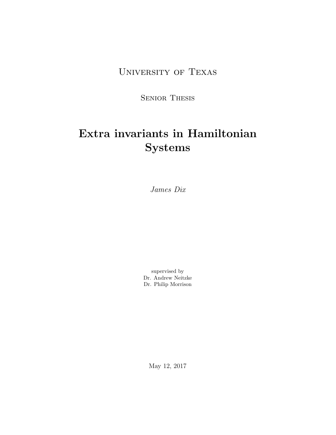University of Texas

Senior Thesis

# Extra invariants in Hamiltonian Systems

James Dix

supervised by Dr. Andrew Neitzke Dr. Philip Morrison

May 12, 2017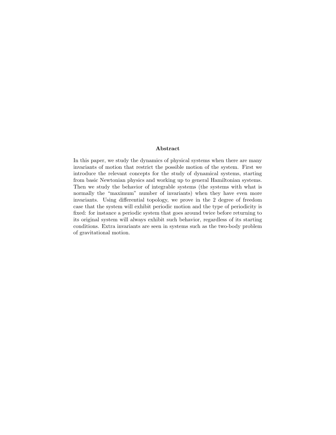#### Abstract

In this paper, we study the dynamics of physical systems when there are many invariants of motion that restrict the possible motion of the system. First we introduce the relevant concepts for the study of dynamical systems, starting from basic Newtonian physics and working up to general Hamiltonian systems. Then we study the behavior of integrable systems (the systems with what is normally the "maximum" number of invariants) when they have even more invariants. Using differential topology, we prove in the 2 degree of freedom case that the system will exhibit periodic motion and the type of periodicity is fixed: for instance a periodic system that goes around twice before returning to its original system will always exhibit such behavior, regardless of its starting conditions. Extra invariants are seen in systems such as the two-body problem of gravitational motion.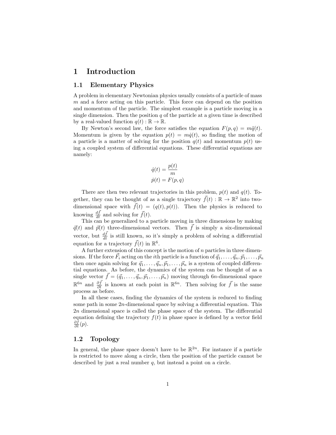## 1 Introduction

#### 1.1 Elementary Physics

A problem in elementary Newtonian physics usually consists of a particle of mass  $m$  and a force acting on this particle. This force can depend on the position and momentum of the particle. The simplest example is a particle moving in a single dimension. Then the position  $q$  of the particle at a given time is described by a real-valued function  $q(t): \mathbb{R} \to \mathbb{R}$ .

By Newton's second law, the force satisfies the equation  $F(p, q) = m\ddot{q}(t)$ . Momentum is given by the equation  $p(t) = m\dot{q}(t)$ , so finding the motion of a particle is a matter of solving for the position  $q(t)$  and momentum  $p(t)$  using a coupled system of differential equations. These differential equations are namely:

$$
\dot{q}(t) = \frac{p(t)}{m}
$$

$$
\dot{p}(t) = F(p, q)
$$

There are then two relevant trajectories in this problem,  $p(t)$  and  $q(t)$ . Together, they can be thought of as a single trajectory  $\vec{f}(t) : \mathbb{R} \to \mathbb{R}^2$  into twodimensional space with  $\vec{f}(t) = (q(t), p(t))$ . Then the physics is reduced to knowing  $\frac{d\vec{f}}{dt}$  and solving for  $\vec{f}(t)$ .

This can be generalized to a particle moving in three dimensions by making  $\vec{q}(t)$  and  $\vec{p}(t)$  three-dimensional vectors. Then  $\vec{f}$  is simply a six-dimensional vector, but  $\frac{d\vec{f}}{dt}$  is still known, so it's simply a problem of solving a differential equation for a trajectory  $\vec{f}(t)$  in  $\mathbb{R}^6$ .

A further extension of this concept is the motion of  $n$  particles in three dimensions. If the force  $\vec{F}_i$  acting on the *i*th particle is a function of  $\vec{q}_1, \ldots, \vec{q}_n, \vec{p}_1, \ldots, \vec{p}_n$ then once again solving for  $\vec{q}_1, \ldots, \vec{q}_n, \vec{p}_1, \ldots, \vec{p}_n$  is a system of coupled differential equations. As before, the dynamics of the system can be thought of as a single vector  $\vec{f} = (\vec{q}_1, \ldots, \vec{q}_n, \vec{p}_1, \ldots, \vec{p}_n)$  moving through 6n-dimensional space  $\mathbb{R}^{6n}$  and  $\frac{\partial \vec{f}}{\partial t}$  is known at each point in  $\mathbb{R}^{6n}$ . Then solving for  $\vec{f}$  is the same process as before.

In all these cases, finding the dynamics of the system is reduced to finding some path in some 2n-dimensional space by solving a differential equation. This 2n dimensional space is called the phase space of the system. The differential equation defining the trajectory  $f(t)$  in phase space is defined by a vector field  $\frac{\partial \bar{f}}{\partial t}(p).$ 

#### 1.2 Topology

In general, the phase space doesn't have to be  $\mathbb{R}^{2n}$ . For instance if a particle is restricted to move along a circle, then the position of the particle cannot be described by just a real number q, but instead a point on a circle.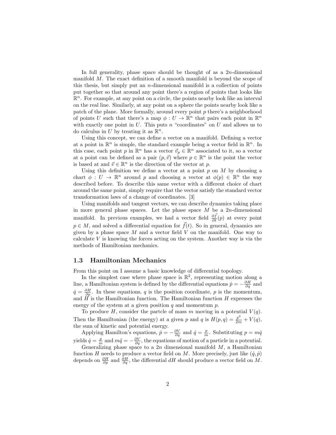In full generality, phase space should be thought of as a  $2n$ -dimensional manifold M. The exact definition of a smooth manifold is beyond the scope of this thesis, but simply put an *n*-dimensional manifold is a collection of points put together so that around any point there's a region of points that looks like  $\mathbb{R}^n$ . For example, at any point on a circle, the points nearby look like an interval on the real line. Similarly, at any point on a sphere the points nearby look like a patch of the plane. More formally, around every point  $p$  there's a neighborhood of points U such that there's a map  $\phi: U \to \mathbb{R}^n$  that pairs each point in  $\mathbb{R}^n$ with exactly one point in  $U$ . This puts n "coordinates" on  $U$  and allows us to do calculus in U by treating it as  $\mathbb{R}^n$ .

Using this concept, we can define a vector on a manifold. Defining a vector at a point in  $\mathbb{R}^n$  is simple, the standard example being a vector field in  $\mathbb{R}^n$ . In this case, each point p in  $\mathbb{R}^n$  has a vector  $\vec{v}_p \in \mathbb{R}^n$  associated to it, so a vector at a point can be defined as a pair  $(p, \vec{v})$  where  $p \in \mathbb{R}^n$  is the point the vector is based at and  $\vec{v} \in \mathbb{R}^n$  is the direction of the vector at p.

Using this definition we define a vector at a point  $p$  on  $M$  by choosing a chart  $\phi: U \to \mathbb{R}^n$  around p and choosing a vector at  $\phi(p) \in \mathbb{R}^n$  the way described before. To describe this same vector with a different choice of chart around the same point, simply require that the vector satisfy the standard vector transformation laws of a change of coordinates. [3]

Using manifolds and tangent vectors, we can describe dynamics taking place in more general phase spaces. Let the phase space  $M$  be a 2n-dimensional manifold. In previous examples, we had a vector field  $\frac{\partial \vec{f}}{\partial t}(p)$  at every point  $p \in M$ , and solved a differential equation for  $\vec{f}(t)$ . So in general, dynamics are given by a phase space  $M$  and a vector field  $V$  on the manifold. One way to calculate  $V$  is knowing the forces acting on the system. Another way is via the methods of Hamiltonian mechanics.

#### 1.3 Hamiltonian Mechanics

From this point on I assume a basic knowledge of differential topology.

In the simplest case where phase space is  $\mathbb{R}^2$ , representing motion along a line, a Hamiltonian system is defined by the differential equations  $\dot{p} = -\frac{\partial H}{\partial q}$  and  $\dot{q} = \frac{\partial H}{\partial p}$ . In these equations, q is the position coordinate, p is the momentum, and  $H$  is the Hamiltonian function. The Hamiltonian function H expresses the energy of the system at a given position  $q$  and momentum  $p$ .

To produce H, consider the partcle of mass m moving in a potential  $V(q)$ . Then the Hamiltonian (the energy) at a given p and q is  $H(p,q) = \frac{p^2}{2m} + V(q)$ , the sum of kinetic and potential energy.

Applying Hamilton's equations,  $\dot{p} = -\frac{\partial V}{\partial q}$  and  $\dot{q} = \frac{p}{m}$ . Substituting  $p = m\dot{q}$ yields  $\dot{q} = \frac{p}{m}$  and  $m\ddot{q} = -\frac{\partial V}{\partial q}$ , the equations of motion of a particle in a potential.

Generalizing phase space to a  $2n$  dimensional manifold  $M$ , a Hamiltonian function H needs to produce a vector field on M. More precisely, just like  $(\dot{q}, \dot{p})$ depends on  $\frac{\partial H}{\partial p}$  and  $\frac{\partial H}{\partial q}$ , the differential dH should produce a vector field on M.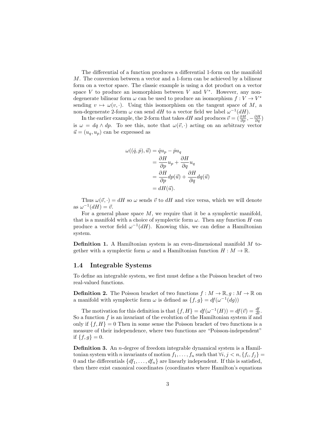The differential of a function produces a differential 1-form on the manifold M. The conversion between a vector and a 1-form can be achieved by a bilinear form on a vector space. The classic example is using a dot product on a vector space  $V$  to produce an isomorphism between  $V$  and  $V^*$ . However, any nondegenerate bilinear form  $\omega$  can be used to produce an isomorphism  $f: V \to V^*$ sending  $v \mapsto \omega(v, \cdot)$ . Using this isomorphism on the tangent space of M, a non-degenerate 2-form  $\omega$  can send dH to a vector field we label  $\omega^{-1}(dH)$ .

In the earlier example, the 2-form that takes  $dH$  and produces  $\vec{v} = (\frac{\partial H}{\partial p}, -\frac{\partial H}{\partial q})$ is  $\omega = dq \wedge dp$ . To see this, note that  $\omega(\vec{v}, \cdot)$  acting on an arbitrary vector  $\vec{u} = (u_q, u_p)$  can be expressed as

$$
\omega((\dot{q}, \dot{p}), \vec{u}) = \dot{q}u_p - \dot{p}u_q
$$
  
=  $\frac{\partial H}{\partial p}u_p + \frac{\partial H}{\partial q}u_q$   
=  $\frac{\partial H}{\partial p}dp(\vec{u}) + \frac{\partial H}{\partial q}dq(\vec{u})$   
=  $dH(\vec{u}).$ 

Thus  $\omega(\vec{v},\cdot) = dH$  so  $\omega$  sends  $\vec{v}$  to  $dH$  and vice versa, which we will denote as  $\omega^{-1}(dH) = \vec{v}$ .

For a general phase space  $M$ , we require that it be a symplectic manifold, that is a manifold with a choice of symplectic form  $\omega$ . Then any function H can produce a vector field  $\omega^{-1}(dH)$ . Knowing this, we can define a Hamiltonian system.

Definition 1. A Hamiltonian system is an even-dimensional manifold M together with a symplectic form  $\omega$  and a Hamiltonian function  $H : M \to \mathbb{R}$ .

#### 1.4 Integrable Systems

To define an integrable system, we first must define a the Poisson bracket of two real-valued functions.

**Definition 2.** The Poisson bracket of two functions  $f : M \to \mathbb{R}, g : M \to \mathbb{R}$  on a manifold with symplectic form  $\omega$  is defined as  $\{f, g\} = df(\omega^{-1}(dg))$ 

The motivation for this definition is that  $\{f, H\} = df(\omega^{-1}(H)) = df(\vec{v}) = \frac{df}{dt}$ . So a function  $f$  is an invariant of the evolution of the Hamiltonian system if and only if  $\{f, H\} = 0$  Then in some sense the Poisson bracket of two functions is a measure of their independence, where two functions are "Poisson-independent" if  $\{f, g\} = 0$ .

**Definition 3.** An *n*-degree of freedom integrable dynamical system is a Hamiltonian system with n invariants of motion  $f_1, \ldots, f_n$  such that  $\forall i, j \leq n, \{f_i, f_j\} =$ 0 and the differentials  $\{df_1, \ldots, df_n\}$  are linearly independent. If this is satisfied, then there exist canonical coordinates (coordinates where Hamilton's equations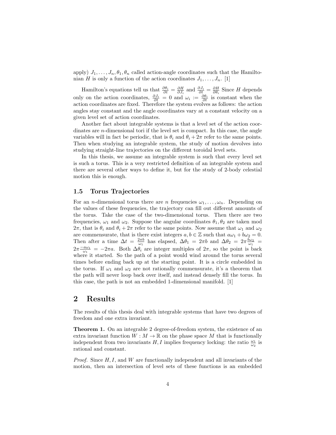apply)  $J_1, \ldots, J_n, \theta_1, \theta_n$  called action-angle coordinates such that the Hamiltonian H is only a function of the action coordinates  $J_1, \ldots, J_n$ . [1]

Hamilton's equations tell us that  $\frac{\partial \theta_i}{\partial t} = \frac{\partial H}{\partial J_i}$  and  $\frac{\partial J_i}{\partial t} = \frac{\partial H}{\partial \theta_i}$  Since H depends only on the action coordinates,  $\frac{\partial J_i}{\partial t} = 0$  and  $\omega_i := \frac{\partial \theta_i}{\partial t}$  is constant when the action coordinates are fixed. Therefore the system evolves as follows: the action angles stay constant and the angle coordinates vary at a constant velocity on a given level set of action coordinates.

Another fact about integrable systems is that a level set of the action coordinates are n-dimensional tori if the level set is compact. In this case, the angle variables will in fact be periodic, that is  $\theta_i$  and  $\theta_i + 2\pi$  refer to the same points. Then when studying an integrable system, the study of motion devolves into studying straight-line trajectories on the different toroidal level sets.

In this thesis, we assume an integrable system is such that every level set is such a torus. This is a very restricted definition of an integrable system and there are several other ways to define it, but for the study of 2-body celestial motion this is enough.

#### 1.5 Torus Trajectories

For an *n*-dimensional torus there are *n* frequencies  $\omega_1, \ldots, \omega_n$ . Depending on the values of these frequencies, the trajectory can fill out different amounts of the torus. Take the case of the two-dimensional torus. Then there are two frequencies,  $\omega_1$  and  $\omega_2$ . Suppose the angular coordinates  $\theta_1, \theta_2$  are taken mod  $2\pi$ , that is  $\theta_i$  and  $\theta_i + 2\pi$  refer to the same points. Now assume that  $\omega_1$  and  $\omega_2$ are commensurate, that is there exist integers  $a, b \in \mathbb{Z}$  such that  $a\omega_1 + b\omega_2 = 0$ . Then after a time  $\Delta t = \frac{2\pi b}{\omega_1}$  has elapsed,  $\Delta \theta_1 = 2\pi b$  and  $\Delta \theta_2 = 2\pi \frac{b\omega_2}{\omega_1}$  $2\pi \frac{-a\omega_1}{\omega_1} = -2\pi a$ . Both  $\Delta\theta_i$  are integer multiples of  $2\pi$ , so the point is back where it started. So the path of a point would wind around the torus several times before ending back up at the starting point. It is a circle embedded in the torus. If  $\omega_1$  and  $\omega_2$  are not rationally commensurate, it's a theorem that the path will never loop back over itself, and instead densely fill the torus. In this case, the path is not an embedded 1-dimensional manifold. [1]

# 2 Results

The results of this thesis deal with integrable systems that have two degrees of freedom and one extra invariant.

Theorem 1. On an integrable 2 degree-of-freedom system, the existence of an extra invariant function  $W : M \to \mathbb{R}$  on the phase space M that is functionally independent from two invariants  $H, I$  implies frequency locking: the ratio  $\frac{\omega_1}{\omega_2}$  is rational and constant.

*Proof.* Since  $H, I$ , and  $W$  are functionally independent and all invariants of the motion, then an intersection of level sets of these functions is an embedded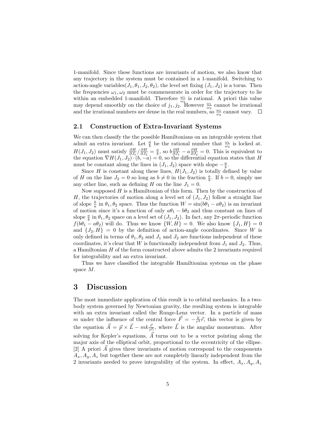1-manifold. Since these functions are invariants of motion, we also know that any trajectory in the system must be contained in a 1-manifold. Switching to action-angle variables( $J_1, \theta_1, J_2, \theta_2$ ), the level set fixing ( $J_1, J_2$ ) is a torus. Then the frequencies  $\omega_1, \omega_2$  must be commensurate in order for the trajectory to lie within an embedded 1-manifold. Therefore  $\frac{\omega_1}{\omega_2}$  is rational. A priori this value may depend smoothly on the choice of  $j_1, j_2$ . However  $\frac{\omega_1}{\omega_2}$  cannot be irrational and the irrational numbers are dense in the real numbers, so  $\frac{\omega_1}{\omega_2}$  cannot vary.

#### 2.1 Construction of Extra-Invariant Systems

We can then classify the the possible Hamiltonians on an integrable system that admit an extra invariant. Let  $\frac{a}{b}$  be the rational number that  $\frac{\omega_1}{\omega_2}$  is locked at.  $H(J_1, J_2)$  must satisfy  $\frac{\partial H}{\partial J_1}/\frac{\partial H}{\partial J_2} = \frac{a}{b}$ , so  $b\frac{\partial H}{\partial J_1} - a\frac{\partial H}{\partial J_2} = 0$ . This is equivalent to the equation  $\nabla H(J_1, J_2) \cdot (b, -a) = 0$ , so the differential equation states that H must be constant along the lines in  $(J_1, J_2)$  space with slope  $-\frac{a}{b}$ .

Since H is constant along these lines,  $H(J_1, J_2)$  is totally defined by value of H on the line  $J_2 = 0$  so long as  $b \neq 0$  in the fraction  $\frac{a}{b}$ . If  $b = 0$ , simply use any other line, such as defining H on the line  $J_1 = 0$ .

Now supposed  $H$  is a Hamiltonian of this form. Then by the construction of H, the trajectories of motion along a level set of  $(J_1, J_2)$  follow a straight line of slope  $\frac{b}{a}$  in  $\theta_1, \theta_2$  space. Thus the function  $W = \sin(b\theta_1 - a\theta_2)$  is an invariant of motion since it's a function of only  $a\theta_1 - b\theta_2$  and thus constant on lines of slope  $\frac{a}{b}$  in  $\theta_1, \theta_2$  space on a level set of  $(J_1, J_2)$ . In fact, any  $2\pi$ -periodic function  $f(b\theta_1 - a\theta_2)$  will do. Thus we know  $\{W, H\} = 0$ . We also know  $\{J_1, H\} = 0$ and  $\{J_2, H\} = 0$  by the definition of action-angle coordinates. Since W is only defined in terms of  $\theta_1, \theta_2$  and  $J_1$  and  $J_2$  are functions independent of these coordinates, it's clear that W is functionally independent from  $J_1$  and  $J_2$ . Thus, a Hamiltonian  $H$  of the form constructed above admits the 2 invariants required for integrability and an extra invariant.

Thus we have classified the integrable Hamiltionian systems on the phase space M.

## 3 Discussion

The most immediate application of this result is to orbital mechanics. In a twobody system governed by Newtonian gravity, the resulting system is integrable with an extra invariant called the Runge-Lenz vector. In a particle of mass m under the influence of the central force  $\vec{F} = -\frac{k}{r^3}\vec{r}$ , this vector is given by the equation  $\vec{A} = \vec{p} \times \vec{L} - mk \frac{\vec{r}}{|\vec{r}|}$ , where  $\vec{L}$  is the angular momentum. After solving for Kepler's equations,  $\overline{A}$  turns out to be a vector pointing along the major axis of the elliptical orbit, proportional to the eccentricity of the ellipse.  $[2]$  A priori A gives three invariants of motion correspond to the components  $A_x, A_y, A_z$  but together these are not completely linearly independent from the 2 invariants needed to prove integrability of the system. In effect,  $A_x, A_y, A_z$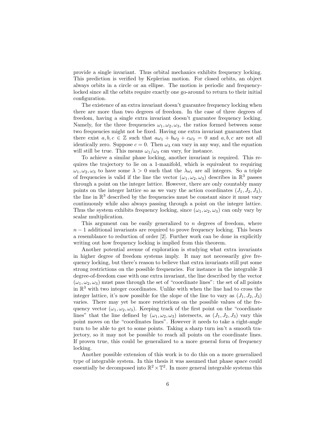provide a single invariant. Thus orbital mechanics exhibits frequency locking. This prediction is verified by Keplerian motion. For closed orbits, an object always orbits in a circle or an ellipse. The motion is periodic and frequencylocked since all the orbits require exactly one go-around to return to their initial configuration.

The existence of an extra invariant doesn't guarantee frequency locking when there are more than two degrees of freedom. In the case of three degrees of freedom, having a single extra invariant doesn't guarantee frequency locking. Namely, for the three frequencies  $\omega_1, \omega_2, \omega_3$ , the ratios formed between some two frequencies might not be fixed. Having one extra invariant guarantees that there exist  $a, b, c \in \mathbb{Z}$  such that  $a\omega_1 + b\omega_2 + c\omega_3 = 0$  and  $a, b, c$  are not all identically zero. Suppose  $c = 0$ . Then  $\omega_3$  can vary in any way, and the equation will still be true. This means  $\omega_1/\omega_3$  can vary, for instance.

To achieve a similar phase locking, another invariant is required. This requires the trajectory to lie on a 1-manifold, which is equivalent to requiring  $\omega_1, \omega_2, \omega_3$  to have some  $\lambda > 0$  such that the  $\lambda \omega_i$  are all integers. So a triple of frequencies is valid if the line the vector  $(\omega_1, \omega_2, \omega_3)$  describes in  $\mathbb{R}^3$  passes through a point on the integer lattice. However, there are only countably many points on the integer lattice so as we vary the action coordinates  $(J_1, J_2, J_3)$ , the line in  $\mathbb{R}^3$  described by the frequencies must be constant since it must vary continuously while also always passing through a point on the integer lattice. Thus the system exhibits frequency locking, since  $(\omega_1, \omega_2, \omega_3)$  can only vary by scalar multiplication.

This argument can be easily generalized to  $n$  degrees of freedom, where  $n-1$  additional invariants are required to prove frequency locking. This bears a resemblance to reduction of order [2]. Further work can be done in explicitly writing out how frequency locking is implied from this theorem.

Another potential avenue of exploration is studying what extra invariants in higher degree of freedom systems imply. It may not necessarily give frequency locking, but there's reason to believe that extra invariants still put some strong restrictions on the possible frequencies. For instance in the integrable 3 degree-of-freedom case with one extra invariant, the line described by the vector  $(\omega_1, \omega_2, \omega_3)$  must pass through the set of "coordinate lines": the set of all points in R <sup>3</sup> with two integer coordinates. Unlike with when the line had to cross the integer lattice, it's now possible for the slope of the line to vary as  $(J_1, J_2, J_3)$ varies. There may yet be more restrictions on the possible values of the frequency vector  $(\omega_1, \omega_2, \omega_3)$ . Keeping track of the first point on the "coordinate" lines" that the line defined by  $(\omega_1, \omega_2, \omega_3)$  intersects, as  $(J_1, J_2, J_3)$  vary this point moves on the "coordinates lines". However it needs to take a right-angle turn to be able to get to some points. Taking a sharp turn isn't a smooth trajectory, so it may not be possible to reach all points on the coordinate lines. If proven true, this could be generalized to a more general form of frequency locking.

Another possible extension of this work is to do this on a more generalized type of integrable system. In this thesis it was assumed that phase space could essentially be decomposed into  $\mathbb{R}^2 \times \mathbb{T}^2$ . In more general integrable systems this